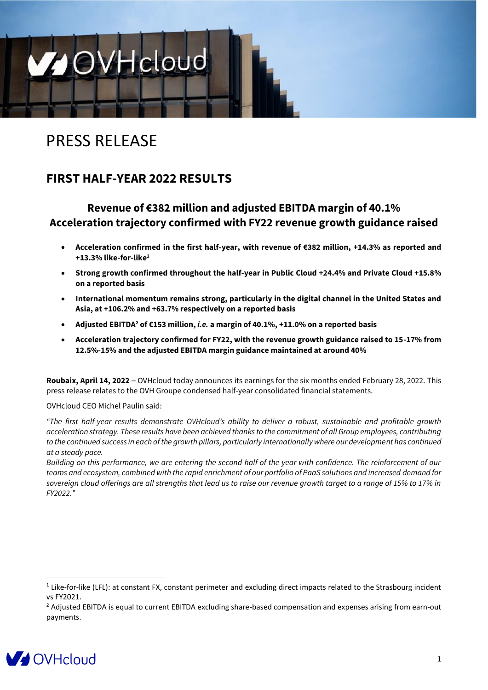

# PRESS RELEASE

## **FIRST HALF-YEAR 2022 RESULTS**

## **Revenue of €382 million and adjusted EBITDA margin of 40.1% Acceleration trajectory confirmed with FY22 revenue growth guidance raised**

- **Acceleration confirmed in the first half-year, with revenue of €382 million, +14.3% as reported and +13.3% like-for-like<sup>1</sup>**
- **Strong growth confirmed throughout the half-year in Public Cloud +24.4% and Private Cloud +15.8% on a reported basis**
- **International momentum remains strong, particularly in the digital channel in the United States and Asia, at +106.2% and +63.7% respectively on a reported basis**
- **Adjusted EBITDA<sup>2</sup> of €153 million,** *i.e.* **a margin of 40.1%, +11.0% on a reported basis**
- **Acceleration trajectory confirmed for FY22, with the revenue growth guidance raised to 15-17% from 12.5%-15% and the adjusted EBITDA margin guidance maintained at around 40%**

**Roubaix, April 14, 2022** – OVHcloud today announces its earnings for the six months ended February 28, 2022. This press release relates to the OVH Groupe condensed half-year consolidated financial statements.

OVHcloud CEO Michel Paulin said:

*"The first half-year results demonstrate OVHcloud's ability to deliver a robust, sustainable and profitable growth acceleration strategy. These results have been achieved thanks to the commitment of all Group employees, contributing to the continued success in each of the growth pillars, particularly internationally where our development has continued at a steady pace.*

*Building on this performance, we are entering the second half of the year with confidence. The reinforcement of our teams and ecosystem, combined with the rapid enrichment of our portfolio of PaaS solutions and increased demand for sovereign cloud offerings are all strengths that lead us to raise our revenue growth target to a range of 15% to 17% in FY2022."*

<sup>&</sup>lt;sup>2</sup> Adjusted EBITDA is equal to current EBITDA excluding share-based compensation and expenses arising from earn-out payments.



 $1$  Like-for-like (LFL): at constant FX, constant perimeter and excluding direct impacts related to the Strasbourg incident vs FY2021.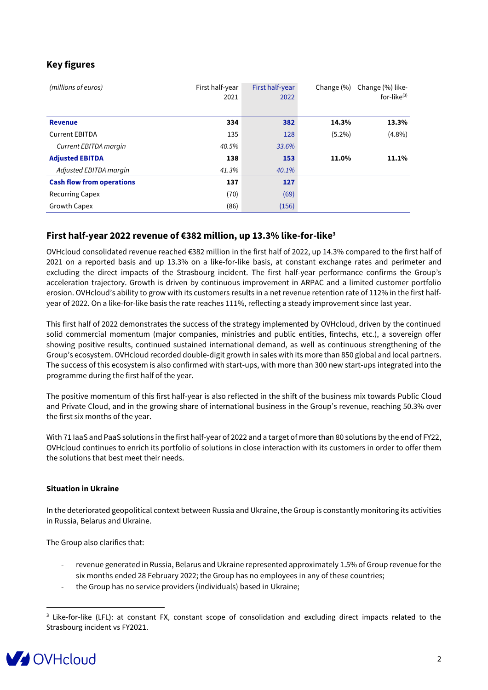## **Key figures**

| (millions of euros)              | First half-year<br>2021 | First half-year<br>2022 | Change $(\%)$ | Change (%) like-<br>for-like $(3)$ |
|----------------------------------|-------------------------|-------------------------|---------------|------------------------------------|
| <b>Revenue</b>                   | 334                     | 382                     | 14.3%         | 13.3%                              |
| <b>Current EBITDA</b>            | 135                     | 128                     | $(5.2\%)$     | $(4.8\%)$                          |
| Current EBITDA margin            | 40.5%                   | 33.6%                   |               |                                    |
| <b>Adjusted EBITDA</b>           | 138                     | 153                     | 11.0%         | 11.1%                              |
| Adjusted EBITDA margin           | 41.3%                   | 40.1%                   |               |                                    |
| <b>Cash flow from operations</b> | 137                     | 127                     |               |                                    |
| <b>Recurring Capex</b>           | (70)                    | (69)                    |               |                                    |
| <b>Growth Capex</b>              | (86)                    | (156)                   |               |                                    |

#### **First half-year 2022 revenue of €382 million, up 13.3% like-for-like<sup>3</sup>**

OVHcloud consolidated revenue reached €382 million in the first half of 2022, up 14.3% compared to the first half of 2021 on a reported basis and up 13.3% on a like-for-like basis, at constant exchange rates and perimeter and excluding the direct impacts of the Strasbourg incident. The first half-year performance confirms the Group's acceleration trajectory. Growth is driven by continuous improvement in ARPAC and a limited customer portfolio erosion. OVHcloud's ability to grow with its customers results in a net revenue retention rate of 112% in the first halfyear of 2022. On a like-for-like basis the rate reaches 111%, reflecting a steady improvement since last year.

This first half of 2022 demonstrates the success of the strategy implemented by OVHcloud, driven by the continued solid commercial momentum (major companies, ministries and public entities, fintechs, etc.), a sovereign offer showing positive results, continued sustained international demand, as well as continuous strengthening of the Group's ecosystem. OVHcloud recorded double-digit growth in sales with its more than 850 global and local partners. The success of this ecosystem is also confirmed with start-ups, with more than 300 new start-ups integrated into the programme during the first half of the year.

The positive momentum of this first half-year is also reflected in the shift of the business mix towards Public Cloud and Private Cloud, and in the growing share of international business in the Group's revenue, reaching 50.3% over the first six months of the year.

With 71 IaaS and PaaS solutions in the first half-year of 2022 and a target of more than 80 solutions by the end of FY22, OVHcloud continues to enrich its portfolio of solutions in close interaction with its customers in order to offer them the solutions that best meet their needs.

#### **Situation in Ukraine**

In the deteriorated geopolitical context between Russia and Ukraine, the Group is constantly monitoring its activities in Russia, Belarus and Ukraine.

The Group also clarifies that:

- revenue generated in Russia, Belarus and Ukraine represented approximately 1.5% of Group revenue for the six months ended 28 February 2022; the Group has no employees in any of these countries;
- the Group has no service providers (individuals) based in Ukraine;

<sup>&</sup>lt;sup>3</sup> Like-for-like (LFL): at constant FX, constant scope of consolidation and excluding direct impacts related to the Strasbourg incident vs FY2021.

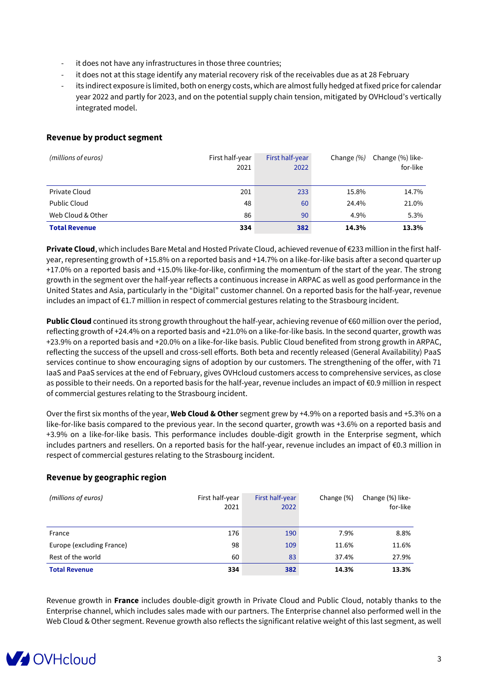- it does not have any infrastructures in those three countries;
- it does not at this stage identify any material recovery risk of the receivables due as at 28 February
- its indirect exposure is limited, both on energy costs, which are almost fully hedged at fixed price for calendar year 2022 and partly for 2023, and on the potential supply chain tension, mitigated by OVHcloud's vertically integrated model.

#### **Revenue by product segment**

| (millions of euros)  | First half-year<br>2021 | First half-year<br>2022 | Change $(% )$ | Change (%) like-<br>for-like |
|----------------------|-------------------------|-------------------------|---------------|------------------------------|
| Private Cloud        | 201                     | 233                     | 15.8%         | 14.7%                        |
| <b>Public Cloud</b>  | 48                      | 60                      | 24.4%         | 21.0%                        |
| Web Cloud & Other    | 86                      | 90                      | 4.9%          | 5.3%                         |
| <b>Total Revenue</b> | 334                     | 382                     | 14.3%         | 13.3%                        |

**Private Cloud**, which includes Bare Metal and Hosted Private Cloud, achieved revenue of €233 million in the first halfyear, representing growth of +15.8% on a reported basis and +14.7% on a like-for-like basis after a second quarter up +17.0% on a reported basis and +15.0% like-for-like, confirming the momentum of the start of the year. The strong growth in the segment over the half-year reflects a continuous increase in ARPAC as well as good performance in the United States and Asia, particularly in the "Digital" customer channel. On a reported basis for the half-year, revenue includes an impact of €1.7 million in respect of commercial gestures relating to the Strasbourg incident.

**Public Cloud** continued its strong growth throughout the half-year, achieving revenue of €60 million over the period, reflecting growth of +24.4% on a reported basis and +21.0% on a like-for-like basis. In the second quarter, growth was +23.9% on a reported basis and +20.0% on a like-for-like basis. Public Cloud benefited from strong growth in ARPAC, reflecting the success of the upsell and cross-sell efforts. Both beta and recently released (General Availability) PaaS services continue to show encouraging signs of adoption by our customers. The strengthening of the offer, with 71 IaaS and PaaS services at the end of February, gives OVHcloud customers access to comprehensive services, as close as possible to their needs. On a reported basis for the half-year, revenue includes an impact of €0.9 million in respect of commercial gestures relating to the Strasbourg incident.

Over the first six months of the year, **Web Cloud & Other** segment grew by +4.9% on a reported basis and +5.3% on a like-for-like basis compared to the previous year. In the second quarter, growth was +3.6% on a reported basis and +3.9% on a like-for-like basis. This performance includes double-digit growth in the Enterprise segment, which includes partners and resellers. On a reported basis for the half-year, revenue includes an impact of €0.3 million in respect of commercial gestures relating to the Strasbourg incident.

#### **Revenue by geographic region**

| (millions of euros)       | First half-year<br>2021 | First half-year<br>2022 | Change (%) | Change (%) like-<br>for-like |
|---------------------------|-------------------------|-------------------------|------------|------------------------------|
| France                    | 176                     | 190                     | 7.9%       | 8.8%                         |
| Europe (excluding France) | 98                      | 109                     | 11.6%      | 11.6%                        |
| Rest of the world         | 60                      | 83                      | 37.4%      | 27.9%                        |
| <b>Total Revenue</b>      | 334                     | 382                     | 14.3%      | 13.3%                        |

Revenue growth in **France** includes double-digit growth in Private Cloud and Public Cloud, notably thanks to the Enterprise channel, which includes sales made with our partners. The Enterprise channel also performed well in the Web Cloud & Other segment. Revenue growth also reflects the significant relative weight of this last segment, as well

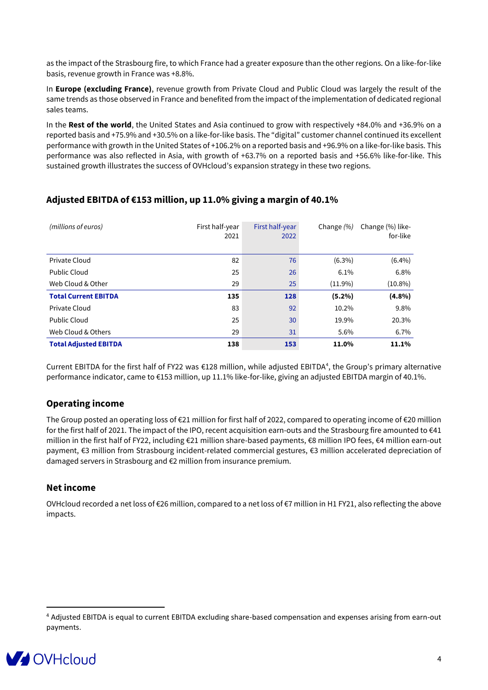as the impact of the Strasbourg fire, to which France had a greater exposure than the other regions. On a like-for-like basis, revenue growth in France was +8.8%.

In **Europe (excluding France)**, revenue growth from Private Cloud and Public Cloud was largely the result of the same trends as those observed in France and benefited from the impact of the implementation of dedicated regional sales teams.

In the **Rest of the world**, the United States and Asia continued to grow with respectively +84.0% and +36.9% on a reported basis and +75.9% and +30.5% on a like-for-like basis. The "digital" customer channel continued its excellent performance with growth in the United States of +106.2% on a reported basis and +96.9% on a like-for-like basis. This performance was also reflected in Asia, with growth of +63.7% on a reported basis and +56.6% like-for-like. This sustained growth illustrates the success of OVHcloud's expansion strategy in these two regions.

| (millions of euros)          | First half-year<br>2021 | First half-year<br>2022 | Change $(%)$ | Change (%) like-<br>for-like |
|------------------------------|-------------------------|-------------------------|--------------|------------------------------|
| Private Cloud                | 82                      | 76                      | $(6.3\%)$    | $(6.4\%)$                    |
| Public Cloud                 | 25                      | 26                      | 6.1%         | 6.8%                         |
| Web Cloud & Other            | 29                      | 25                      | $(11.9\%)$   | $(10.8\%)$                   |
| <b>Total Current EBITDA</b>  | 135                     | 128                     | $(5.2\%)$    | $(4.8\%)$                    |
| Private Cloud                | 83                      | 92                      | 10.2%        | 9.8%                         |
| <b>Public Cloud</b>          | 25                      | 30                      | 19.9%        | 20.3%                        |
| Web Cloud & Others           | 29                      | 31                      | 5.6%         | 6.7%                         |
| <b>Total Adjusted EBITDA</b> | 138                     | 153                     | 11.0%        | 11.1%                        |

## **Adjusted EBITDA of €153 million, up 11.0% giving a margin of 40.1%**

Current EBITDA for the first half of FY22 was €128 million, while adjusted EBITDA<sup>4</sup>, the Group's primary alternative performance indicator, came to €153 million, up 11.1% like-for-like, giving an adjusted EBITDA margin of 40.1%.

### **Operating income**

The Group posted an operating loss of  $\epsilon$ 21 million for first half of 2022, compared to operating income of  $\epsilon$ 20 million for the first half of 2021. The impact of the IPO, recent acquisition earn-outs and the Strasbourg fire amounted to  $\epsilon$ 41 million in the first half of FY22, including €21 million share-based payments, €8 million IPO fees, €4 million earn-out payment, €3 million from Strasbourg incident-related commercial gestures, €3 million accelerated depreciation of damaged servers in Strasbourg and €2 million from insurance premium.

#### **Net income**

OVHcloud recorded a net loss of €26 million, compared to a net loss of €7 million in H1 FY21, also reflecting the above impacts.

<sup>4</sup> Adjusted EBITDA is equal to current EBITDA excluding share-based compensation and expenses arising from earn-out payments.

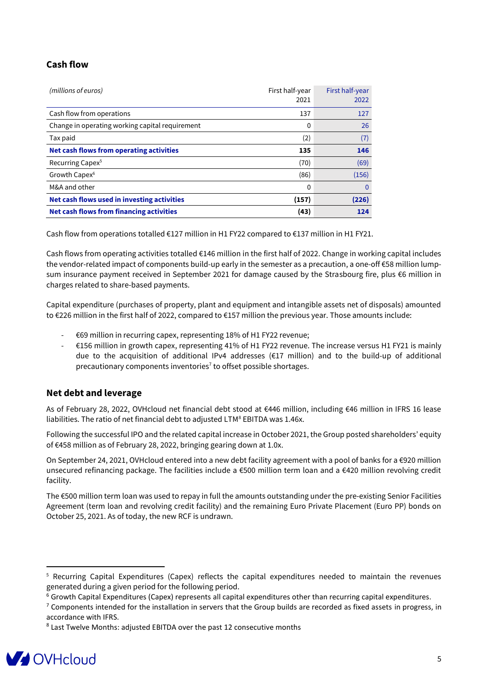### **Cash flow**

| (millions of euros)                             | First half-year<br>2021 | First half-year<br>2022 |
|-------------------------------------------------|-------------------------|-------------------------|
| Cash flow from operations                       | 137                     | 127                     |
| Change in operating working capital requirement | 0                       | 26                      |
| Tax paid                                        | (2)                     | (7)                     |
| <b>Net cash flows from operating activities</b> | 135                     | 146                     |
| Recurring Capex <sup>5</sup>                    | (70)                    | (69)                    |
| Growth Capex <sup>6</sup>                       | (86)                    | (156)                   |
| M&A and other                                   | 0                       | 0                       |
| Net cash flows used in investing activities     | (157)                   | (226)                   |
| Net cash flows from financing activities        | (43)                    | 124                     |

Cash flow from operations totalled €127 million in H1 FY22 compared to €137 million in H1 FY21.

Cash flows from operating activities totalled €146 million in the first half of 2022. Change in working capital includes the vendor-related impact of components build-up early in the semester as a precaution, a one-off €58 million lumpsum insurance payment received in September 2021 for damage caused by the Strasbourg fire, plus €6 million in charges related to share-based payments.

Capital expenditure (purchases of property, plant and equipment and intangible assets net of disposals) amounted to €226 million in the first half of 2022, compared to €157 million the previous year. Those amounts include:

- €69 million in recurring capex, representing 18% of H1 FY22 revenue;
- €156 million in growth capex, representing 41% of H1 FY22 revenue. The increase versus H1 FY21 is mainly due to the acquisition of additional IPv4 addresses (€17 million) and to the build-up of additional precautionary components inventories<sup>7</sup> to offset possible shortages.

#### **Net debt and leverage**

As of February 28, 2022, OVHcloud net financial debt stood at €446 million, including €46 million in IFRS 16 lease liabilities. The ratio of net financial debt to adjusted LTM<sup>8</sup> EBITDA was 1.46x.

Following the successful IPO and the related capital increase in October 2021, the Group posted shareholders' equity of €458 million as of February 28, 2022, bringing gearing down at 1.0x.

On September 24, 2021, OVHcloud entered into a new debt facility agreement with a pool of banks for a €920 million unsecured refinancing package. The facilities include a €500 million term loan and a €420 million revolving credit facility.

The €500 million term loan was used to repay in full the amounts outstanding under the pre-existing Senior Facilities Agreement (term loan and revolving credit facility) and the remaining Euro Private Placement (Euro PP) bonds on October 25, 2021. As of today, the new RCF is undrawn.

<sup>&</sup>lt;sup>8</sup> Last Twelve Months: adjusted EBITDA over the past 12 consecutive months



<sup>5</sup> Recurring Capital Expenditures (Capex) reflects the capital expenditures needed to maintain the revenues generated during a given period for the following period.

 $6$  Growth Capital Expenditures (Capex) represents all capital expenditures other than recurring capital expenditures.

 $7$  Components intended for the installation in servers that the Group builds are recorded as fixed assets in progress, in accordance with IFRS.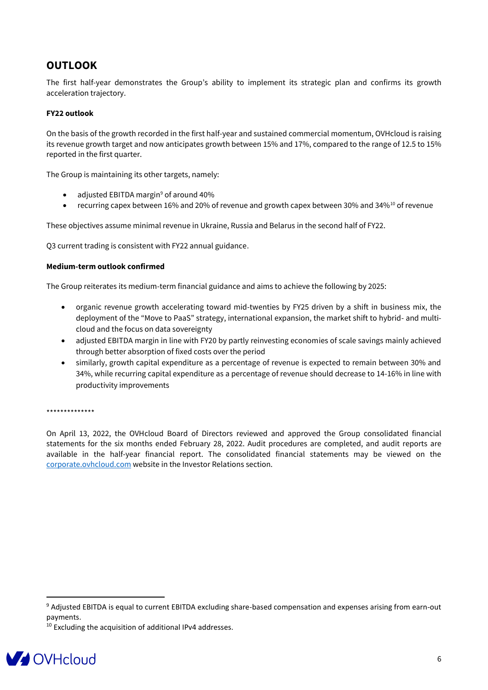## **OUTLOOK**

The first half-year demonstrates the Group's ability to implement its strategic plan and confirms its growth acceleration trajectory.

#### **FY22 outlook**

On the basis of the growth recorded in the first half-year and sustained commercial momentum, OVHcloud is raising its revenue growth target and now anticipates growth between 15% and 17%, compared to the range of 12.5 to 15% reported in the first quarter.

The Group is maintaining its other targets, namely:

- adjusted EBITDA margin<sup>9</sup> of around 40%
- recurring capex between 16% and 20% of revenue and growth capex between 30% and 34%<sup>10</sup> of revenue

These objectives assume minimal revenue in Ukraine, Russia and Belarus in the second half of FY22.

Q3 current trading is consistent with FY22 annual guidance.

#### **Medium-term outlook confirmed**

The Group reiterates its medium-term financial guidance and aims to achieve the following by 2025:

- organic revenue growth accelerating toward mid-twenties by FY25 driven by a shift in business mix, the deployment of the "Move to PaaS" strategy, international expansion, the market shift to hybrid- and multicloud and the focus on data sovereignty
- adjusted EBITDA margin in line with FY20 by partly reinvesting economies of scale savings mainly achieved through better absorption of fixed costs over the period
- similarly, growth capital expenditure as a percentage of revenue is expected to remain between 30% and 34%, while recurring capital expenditure as a percentage of revenue should decrease to 14-16% in line with productivity improvements

#### \*\*\*\*\*\*\*\*\*\*\*\*\*\*

On April 13, 2022, the OVHcloud Board of Directors reviewed and approved the Group consolidated financial statements for the six months ended February 28, 2022. Audit procedures are completed, and audit reports are available in the half-year financial report. The consolidated financial statements may be viewed on the [corporate.ovhcloud.com](https://corporate.ovhcloud.com/) website in the Investor Relations section.

<sup>&</sup>lt;sup>10</sup> Excluding the acquisition of additional IPv4 addresses.



<sup>9</sup> Adjusted EBITDA is equal to current EBITDA excluding share-based compensation and expenses arising from earn-out payments.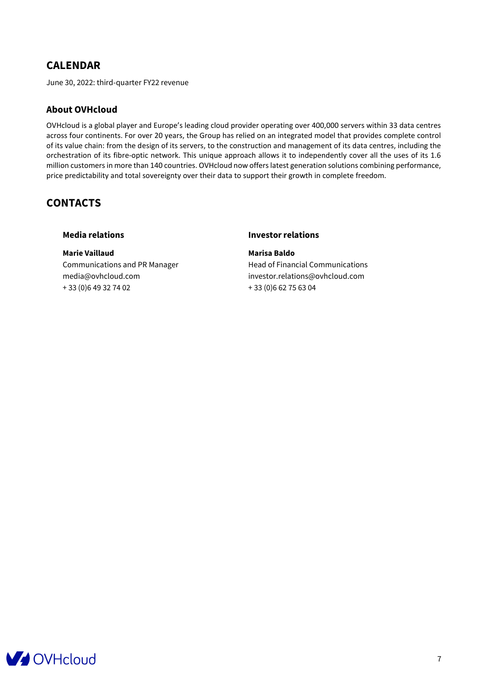## **CALENDAR**

June 30, 2022: third-quarter FY22 revenue

#### **About OVHcloud**

OVHcloud is a global player and Europe's leading cloud provider operating over 400,000 servers within 33 data centres across four continents. For over 20 years, the Group has relied on an integrated model that provides complete control of its value chain: from the design of its servers, to the construction and management of its data centres, including the orchestration of its fibre-optic network. This unique approach allows it to independently cover all the uses of its 1.6 million customers in more than 140 countries. OVHcloud now offers latest generation solutions combining performance, price predictability and total sovereignty over their data to support their growth in complete freedom.

## **CONTACTS**

**Marie Vaillaud Marisa Baldo** Communications and PR Manager Head of Financial Communications [media@ovhcloud.com](mailto:marie.vaillaud@ovhcloud.com) investor.relations@ovhcloud.com + 33 (0)6 49 32 74 02 + 33 (0)6 62 75 63 04

#### **Media relations Investor relations**

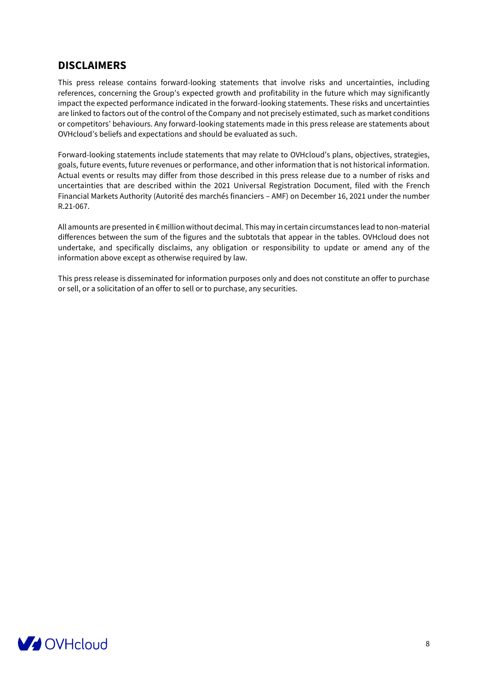## **DISCLAIMERS**

This press release contains forward-looking statements that involve risks and uncertainties, including references, concerning the Group's expected growth and profitability in the future which may significantly impact the expected performance indicated in the forward-looking statements. These risks and uncertainties are linked to factors out of the control of the Company and not precisely estimated, such as market conditions or competitors' behaviours. Any forward-looking statements made in this press release are statements about OVHcloud's beliefs and expectations and should be evaluated as such.

Forward-looking statements include statements that may relate to OVHcloud's plans, objectives, strategies, goals, future events, future revenues or performance, and other information that is not historical information. Actual events or results may differ from those described in this press release due to a number of risks and uncertainties that are described within the 2021 Universal Registration Document, filed with the French Financial Markets Authority (Autorité des marchés financiers – AMF) on December 16, 2021 under the number R.21-067.

All amounts are presented in € million without decimal. This may in certain circumstances lead to non-material differences between the sum of the figures and the subtotals that appear in the tables. OVHcloud does not undertake, and specifically disclaims, any obligation or responsibility to update or amend any of the information above except as otherwise required by law.

This press release is disseminated for information purposes only and does not constitute an offer to purchase or sell, or a solicitation of an offer to sell or to purchase, any securities.

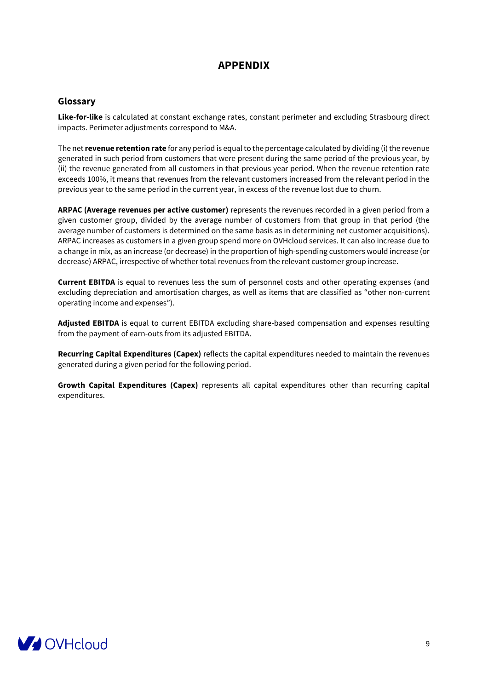## **APPENDIX**

#### **Glossary**

**Like-for-like** is calculated at constant exchange rates, constant perimeter and excluding Strasbourg direct impacts. Perimeter adjustments correspond to M&A.

The net**revenue retention rate** for any period is equal to the percentage calculated by dividing (i) the revenue generated in such period from customers that were present during the same period of the previous year, by (ii) the revenue generated from all customers in that previous year period. When the revenue retention rate exceeds 100%, it means that revenues from the relevant customers increased from the relevant period in the previous year to the same period in the current year, in excess of the revenue lost due to churn.

**ARPAC (Average revenues per active customer)** represents the revenues recorded in a given period from a given customer group, divided by the average number of customers from that group in that period (the average number of customers is determined on the same basis as in determining net customer acquisitions). ARPAC increases as customers in a given group spend more on OVHcloud services. It can also increase due to a change in mix, as an increase (or decrease) in the proportion of high-spending customers would increase (or decrease) ARPAC, irrespective of whether total revenues from the relevant customer group increase.

**Current EBITDA** is equal to revenues less the sum of personnel costs and other operating expenses (and excluding depreciation and amortisation charges, as well as items that are classified as "other non-current operating income and expenses").

**Adjusted EBITDA** is equal to current EBITDA excluding share-based compensation and expenses resulting from the payment of earn-outs from its adjusted EBITDA.

**Recurring Capital Expenditures (Capex)** reflects the capital expenditures needed to maintain the revenues generated during a given period for the following period.

**Growth Capital Expenditures (Capex)** represents all capital expenditures other than recurring capital expenditures.

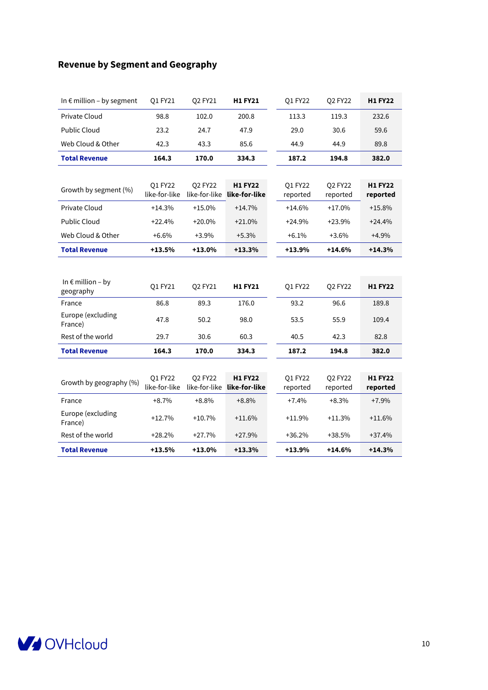## **Revenue by Segment and Geography**

| In $\epsilon$ million - by segment      | Q1 FY21                  | Q2 FY21                  | <b>H1 FY21</b>                  | Q1 FY22             | Q2 FY22             | <b>H1 FY22</b>             |
|-----------------------------------------|--------------------------|--------------------------|---------------------------------|---------------------|---------------------|----------------------------|
| <b>Private Cloud</b>                    | 98.8                     | 102.0                    | 200.8                           | 113.3               | 119.3               | 232.6                      |
| Public Cloud                            | 23.2                     | 24.7                     | 47.9                            | 29.0                | 30.6                | 59.6                       |
| Web Cloud & Other                       | 42.3                     | 43.3                     | 85.6                            | 44.9                | 44.9                | 89.8                       |
| <b>Total Revenue</b>                    | 164.3                    | 170.0                    | 334.3                           | 187.2               | 194.8               | 382.0                      |
|                                         |                          |                          |                                 |                     |                     |                            |
| Growth by segment (%)                   | Q1 FY22<br>like-for-like | Q2 FY22<br>like-for-like | <b>H1 FY22</b><br>like-for-like | Q1 FY22<br>reported | Q2 FY22<br>reported | <b>H1 FY22</b><br>reported |
| <b>Private Cloud</b>                    | $+14.3%$                 | $+15.0%$                 | $+14.7%$                        | $+14.6%$            | $+17.0%$            | $+15.8%$                   |
| <b>Public Cloud</b>                     | $+22.4%$                 | $+20.0%$                 | $+21.0%$                        | $+24.9%$            | $+23.9%$            | $+24.4%$                   |
| Web Cloud & Other                       | $+6.6%$                  | $+3.9%$                  | $+5.3%$                         | $+6.1%$             | $+3.6%$             | $+4.9%$                    |
| <b>Total Revenue</b>                    | $+13.5%$                 | $+13.0%$                 | $+13.3%$                        | $+13.9%$            | $+14.6%$            | $+14.3%$                   |
|                                         |                          |                          |                                 |                     |                     |                            |
| In $\epsilon$ million – by<br>geography | Q1 FY21                  | Q2 FY21                  | <b>H1 FY21</b>                  | Q1 FY22             | Q2 FY22             | <b>H1 FY22</b>             |
| France                                  | 86.8                     | 89.3                     | 176.0                           | 93.2                | 96.6                | 189.8                      |
| Europe (excluding<br>France)            | 47.8                     | 50.2                     | 98.0                            | 53.5                | 55.9                | 109.4                      |
| Rest of the world                       | 29.7                     | 30.6                     | 60.3                            | 40.5                | 42.3                | 82.8                       |
| <b>Total Revenue</b>                    | 164.3                    | 170.0                    | 334.3                           | 187.2               | 194.8               | 382.0                      |
|                                         |                          |                          |                                 |                     |                     |                            |
| Growth by geography (%)                 | Q1 FY22<br>like-for-like | Q2 FY22<br>like-for-like | <b>H1 FY22</b><br>like-for-like | Q1 FY22<br>reported | Q2 FY22<br>reported | <b>H1 FY22</b><br>reported |
| France                                  | $+8.7%$                  | $+8.8%$                  | $+8.8%$                         | $+7.4%$             | $+8.3%$             | $+7.9%$                    |
| Europe (excluding<br>France)            | $+12.7%$                 | $+10.7%$                 | $+11.6%$                        | $+11.9%$            | $+11.3%$            | $+11.6%$                   |
| Rest of the world                       | $+28.2%$                 | $+27.7%$                 | $+27.9%$                        | $+36.2%$            | $+38.5%$            | $+37.4%$                   |
| <b>Total Revenue</b>                    | $+13.5%$                 | $+13.0%$                 | $+13.3%$                        | $+13.9%$            | $+14.6%$            | $+14.3%$                   |

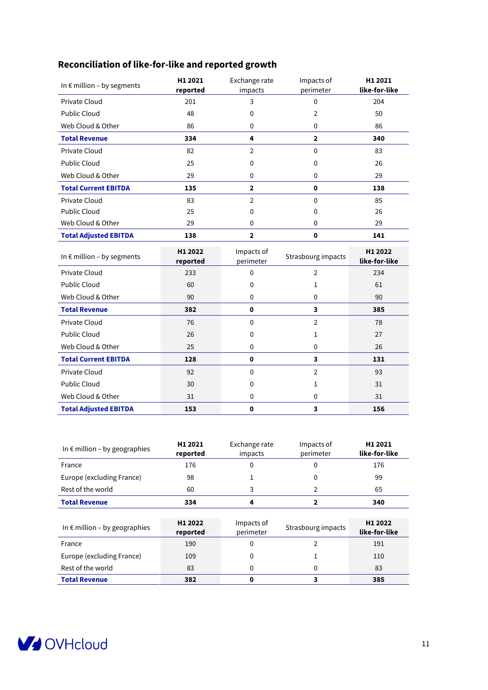## **Reconciliation of like-for-like and reported growth**

| In $\epsilon$ million - by segments | H1 2021<br>reported | Exchange rate<br>impacts | Impacts of<br>perimeter | H1 2021<br>like-for-like |
|-------------------------------------|---------------------|--------------------------|-------------------------|--------------------------|
| Private Cloud                       | 201                 | 3                        | 0                       | 204                      |
| <b>Public Cloud</b>                 | 48                  | $\mathbf 0$              | 2                       | 50                       |
| Web Cloud & Other                   | 86                  | 0                        | 0                       | 86                       |
| <b>Total Revenue</b>                | 334                 | 4                        | $\overline{2}$          | 340                      |
| <b>Private Cloud</b>                | 82                  | $\overline{2}$           | 0                       | 83                       |
| <b>Public Cloud</b>                 | 25                  | $\Omega$                 | 0                       | 26                       |
| Web Cloud & Other                   | 29                  | $\mathbf 0$              | 0                       | 29                       |
| <b>Total Current EBITDA</b>         | 135                 | $\overline{2}$           | 0                       | 138                      |
| <b>Private Cloud</b>                | 83                  | $\overline{2}$           | $\mathbf{0}$            | 85                       |
| <b>Public Cloud</b>                 | 25                  | $\mathbf{0}$             | 0                       | 26                       |
| Web Cloud & Other                   | 29                  | $\mathbf{0}$             | 0                       | 29                       |
| <b>Total Adjusted EBITDA</b>        | 138                 | $\mathbf{2}$             | 0                       | 141                      |
|                                     |                     |                          |                         |                          |
| In $\epsilon$ million - by segments | H1 2022<br>reported | Impacts of<br>perimeter  | Strasbourg impacts      | H1 2022<br>like-for-like |
| Private Cloud                       | 233                 | $\Omega$                 | $\overline{2}$          | 234                      |
| <b>Public Cloud</b>                 | 60                  | 0                        | 1                       | 61                       |
| Web Cloud & Other                   | 90                  | $\mathbf 0$              | $\mathbf 0$             | 90                       |
| <b>Total Revenue</b>                | 382                 | $\mathbf 0$              | $\overline{\mathbf{3}}$ | 385                      |
| <b>Private Cloud</b>                | 76                  | $\mathbf 0$              | $\overline{2}$          | 78                       |
| Public Cloud                        | 26                  | 0                        | 1                       | 27                       |
| Web Cloud & Other                   | 25                  | $\mathbf 0$              | $\mathbf 0$             | 26                       |
| <b>Total Current EBITDA</b>         | 128                 | $\mathbf 0$              | 3                       | 131                      |
| <b>Private Cloud</b>                | 92                  | $\mathbf 0$              | $\overline{2}$          | 93                       |
| <b>Public Cloud</b>                 | 30                  | 0                        | 1                       | 31                       |
| Web Cloud & Other                   | 31                  | $\mathbf 0$              | $\mathbf 0$             | 31                       |

| In $\epsilon$ million – by geographies | H1 2021<br>reported | Exchange rate<br>impacts | Impacts of<br>perimeter | H1 2021<br>like-for-like |
|----------------------------------------|---------------------|--------------------------|-------------------------|--------------------------|
| France                                 | 176                 | 0                        | $\Omega$                | 176                      |
| Europe (excluding France)              | 98                  |                          | 0                       | 99                       |
| Rest of the world                      | 60                  | 3                        | 2                       | 65                       |
| <b>Total Revenue</b>                   | 334                 | 4                        | $\mathbf{2}$            | 340                      |
|                                        |                     |                          |                         |                          |
| In $\epsilon$ million - by geographies | H1 2022             | Impacts of               |                         | H1 2022                  |
|                                        | reported            | perimeter                | Strasbourg impacts      | like-for-like            |
| France                                 | 190                 | 0                        | 2                       | 191                      |
| Europe (excluding France)              | 109                 | 0                        |                         | 110                      |
| Rest of the world                      | 83                  | 0                        | $\Omega$                | 83                       |

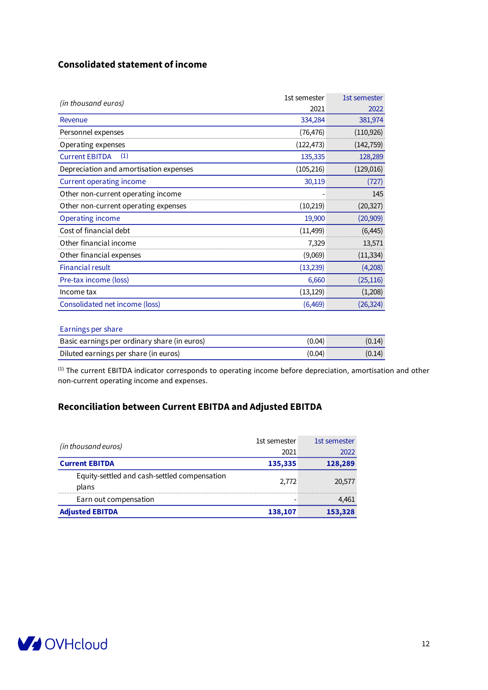### **Consolidated statement of income**

| (in thousand euros)                    | 1st semester | 1st semester |
|----------------------------------------|--------------|--------------|
|                                        | 2021         | 2022         |
| Revenue                                | 334,284      | 381,974      |
| Personnel expenses                     | (76, 476)    | (110, 926)   |
| Operating expenses                     | (122, 473)   | (142, 759)   |
| (1)<br><b>Current EBITDA</b>           | 135,335      | 128,289      |
| Depreciation and amortisation expenses | (105, 216)   | (129, 016)   |
| <b>Current operating income</b>        | 30,119       | (727)        |
| Other non-current operating income     |              | 145          |
| Other non-current operating expenses   | (10, 219)    | (20, 327)    |
| <b>Operating income</b>                | 19,900       | (20, 909)    |
| Cost of financial debt                 | (11, 499)    | (6, 445)     |
| Other financial income                 | 7,329        | 13,571       |
| Other financial expenses               | (9,069)      | (11, 334)    |
| <b>Financial result</b>                | (13, 239)    | (4,208)      |
| Pre-tax income (loss)                  | 6,660        | (25, 116)    |
| Income tax                             | (13, 129)    | (1,208)      |
| Consolidated net income (loss)         | (6, 469)     | (26, 324)    |

#### Earnings per share

| Basic earnings per ordinary share (in euros) | (0.04) | (0.14) |
|----------------------------------------------|--------|--------|
| Diluted earnings per share (in euros)        | (0.04) | (0.14) |

(1) The current EBITDA indicator corresponds to operating income before depreciation, amortisation and other non-current operating income and expenses.

### **Reconciliation between Current EBITDA and Adjusted EBITDA**

|                                                       | 1st semester | 1st semester |
|-------------------------------------------------------|--------------|--------------|
| (in thousand euros)                                   | 2021         | 2022         |
| <b>Current EBITDA</b>                                 | 135,335      | 128,289      |
| Equity-settled and cash-settled compensation<br>plans | 2.772        | 20,577       |
| Earn out compensation                                 |              | 4,461        |
| <b>Adjusted EBITDA</b>                                | 138,107      | 153,328      |

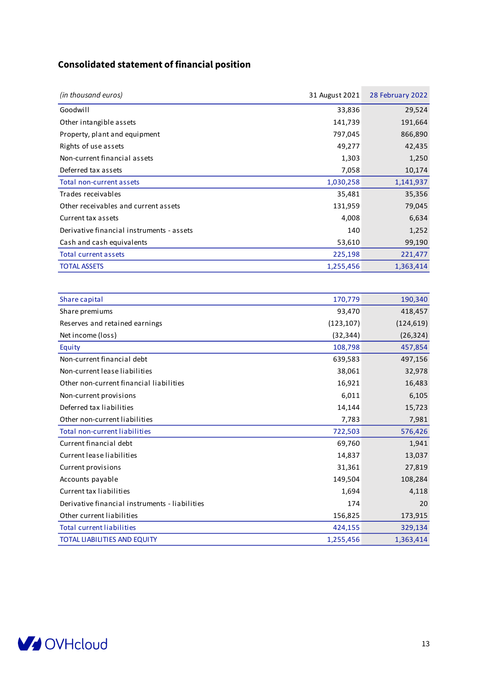## **Consolidated statement of financial position**

| (in thousand euros)                            | 31 August 2021 | 28 February 2022 |
|------------------------------------------------|----------------|------------------|
| Goodwill                                       | 33,836         | 29,524           |
| Other intangible assets                        | 141,739        | 191,664          |
| Property, plant and equipment                  | 797,045        | 866,890          |
| Rights of use assets                           | 49,277         | 42,435           |
| Non-current financial assets                   | 1,303          | 1,250            |
| Deferred tax assets                            | 7,058          | 10,174           |
| Total non-current assets                       | 1,030,258      | 1,141,937        |
| Trades receivables                             | 35,481         | 35,356           |
| Other receivables and current assets           | 131,959        | 79,045           |
| Current tax assets                             | 4,008          | 6,634            |
| Derivative financial instruments - assets      | 140            | 1,252            |
| Cash and cash equivalents                      | 53,610         | 99,190           |
| Total current assets                           | 225,198        | 221,477          |
| <b>TOTAL ASSETS</b>                            | 1,255,456      | 1,363,414        |
|                                                |                |                  |
| Share capital                                  | 170,779        | 190,340          |
| Share premiums                                 | 93,470         | 418,457          |
| Reserves and retained earnings                 | (123, 107)     | (124, 619)       |
| Net income (loss)                              | (32, 344)      | (26, 324)        |
| Equity                                         | 108,798        | 457,854          |
| Non-current financial debt                     | 639,583        | 497,156          |
| Non-current lease liabilities                  | 38,061         | 32,978           |
| Other non-current financial liabilities        | 16,921         | 16,483           |
| Non-current provisions                         | 6,011          | 6,105            |
| Deferred tax liabilities                       | 14,144         | 15,723           |
| Other non-current liabilities                  | 7,783          | 7,981            |
| <b>Total non-current liabilities</b>           | 722,503        | 576,426          |
| Current financial debt                         | 69,760         | 1,941            |
| Current lease liabilities                      | 14,837         | 13,037           |
| Current provisions                             | 31,361         | 27,819           |
| Accounts payable                               | 149,504        | 108,284          |
| Current tax liabilities                        | 1,694          | 4,118            |
| Derivative financial instruments - liabilities | 174            | 20               |
| Other current liabilities                      | 156,825        | 173,915          |
| <b>Total current liabilities</b>               | 424,155        | 329,134          |
| TOTAL LIABILITIES AND EQUITY                   | 1,255,456      | 1,363,414        |